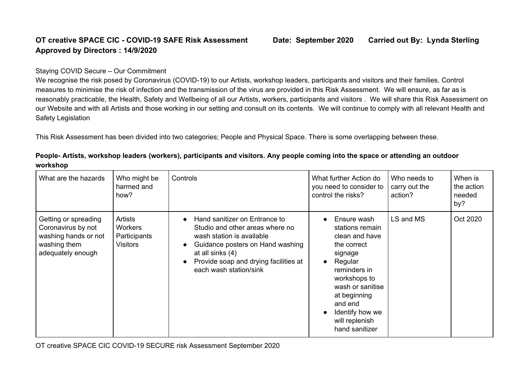## **OT creative SPACE CIC - COVID-19 SAFE Risk Assessment Date: September 2020 Carried out By: Lynda Sterling Approved by Directors : 14/9/2020**

## Staying COVID Secure – Our Commitment

We recognise the risk posed by Coronavirus (COVID-19) to our Artists, workshop leaders, participants and visitors and their families. Control measures to minimise the risk of infection and the transmission of the virus are provided in this Risk Assessment. We will ensure, as far as is reasonably practicable, the Health, Safety and Wellbeing of all our Artists, workers, participants and visitors . We will share this Risk Assessment on our Website and with all Artists and those working in our setting and consult on its contents. We will continue to comply with all relevant Health and Safety Legislation

This Risk Assessment has been divided into two categories; People and Physical Space. There is some overlapping between these.

| What are the hazards                                                                                    | Who might be<br>harmed and<br>how?                           | Controls                                                                                                                                                                                                                              | What further Action do<br>you need to consider to<br>control the risks?                                                                                                                                                     | Who needs to<br>carry out the<br>action? | When is<br>the action<br>needed<br>by? |
|---------------------------------------------------------------------------------------------------------|--------------------------------------------------------------|---------------------------------------------------------------------------------------------------------------------------------------------------------------------------------------------------------------------------------------|-----------------------------------------------------------------------------------------------------------------------------------------------------------------------------------------------------------------------------|------------------------------------------|----------------------------------------|
| Getting or spreading<br>Coronavirus by not<br>washing hands or not<br>washing them<br>adequately enough | Artists<br><b>Workers</b><br>Participants<br><b>Visitors</b> | Hand sanitizer on Entrance to<br>Studio and other areas where no<br>wash station is available<br>Guidance posters on Hand washing<br>$\bullet$<br>at all sinks (4)<br>Provide soap and drying facilities at<br>each wash station/sink | Ensure wash<br>stations remain<br>clean and have<br>the correct<br>signage<br>Regular<br>reminders in<br>workshops to<br>wash or sanitise<br>at beginning<br>and end<br>Identify how we<br>will replenish<br>hand sanitizer | LS and MS                                | Oct 2020                               |

People-Artists, workshop leaders (workers), participants and visitors. Any people coming into the space or attending an outdoor **workshop**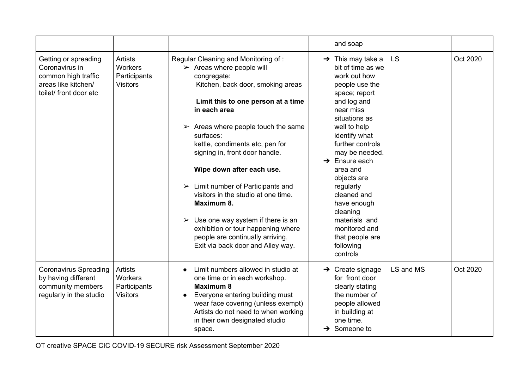|                                                                                                                |                                                              |                                                                                                                                                                                                                                                                                                                                                                                                                                                                                                                                                                                                                                               | and soap                                                                                                                                                                                                                                                                                                                                                                                                               |           |          |
|----------------------------------------------------------------------------------------------------------------|--------------------------------------------------------------|-----------------------------------------------------------------------------------------------------------------------------------------------------------------------------------------------------------------------------------------------------------------------------------------------------------------------------------------------------------------------------------------------------------------------------------------------------------------------------------------------------------------------------------------------------------------------------------------------------------------------------------------------|------------------------------------------------------------------------------------------------------------------------------------------------------------------------------------------------------------------------------------------------------------------------------------------------------------------------------------------------------------------------------------------------------------------------|-----------|----------|
| Getting or spreading<br>Coronavirus in<br>common high traffic<br>areas like kitchen/<br>toilet/ front door etc | <b>Artists</b><br>Workers<br>Participants<br><b>Visitors</b> | Regular Cleaning and Monitoring of:<br>$\triangleright$ Areas where people will<br>congregate:<br>Kitchen, back door, smoking areas<br>Limit this to one person at a time<br>in each area<br>$\triangleright$ Areas where people touch the same<br>surfaces:<br>kettle, condiments etc, pen for<br>signing in, front door handle.<br>Wipe down after each use.<br>$\triangleright$ Limit number of Participants and<br>visitors in the studio at one time.<br>Maximum 8.<br>$\triangleright$ Use one way system if there is an<br>exhibition or tour happening where<br>people are continually arriving.<br>Exit via back door and Alley way. | $\rightarrow$ This may take a<br>bit of time as we<br>work out how<br>people use the<br>space; report<br>and log and<br>near miss<br>situations as<br>well to help<br>identify what<br>further controls<br>may be needed.<br>$\rightarrow$ Ensure each<br>area and<br>objects are<br>regularly<br>cleaned and<br>have enough<br>cleaning<br>materials and<br>monitored and<br>that people are<br>following<br>controls | <b>LS</b> | Oct 2020 |
| <b>Coronavirus Spreading</b><br>by having different<br>community members<br>regularly in the studio            | Artists<br>Workers<br>Participants<br><b>Visitors</b>        | Limit numbers allowed in studio at<br>$\bullet$<br>one time or in each workshop.<br><b>Maximum 8</b><br>Everyone entering building must<br>$\bullet$<br>wear face covering (unless exempt)<br>Artists do not need to when working<br>in their own designated studio<br>space.                                                                                                                                                                                                                                                                                                                                                                 | $\rightarrow$ Create signage<br>for front door<br>clearly stating<br>the number of<br>people allowed<br>in building at<br>one time.<br>Someone to<br>→                                                                                                                                                                                                                                                                 | LS and MS | Oct 2020 |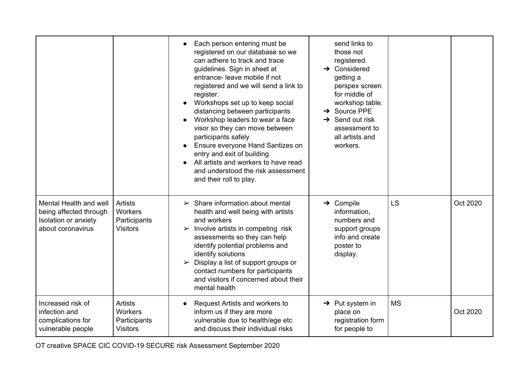|                                                                                               |                                                                     | Each person entering must be<br>registered on our database so we<br>can adhere to track and trace<br>guidelines. Sign in sheet at<br>entrance- leave mobile if not<br>registered and we will send a link to<br>register.<br>Workshops set up to keep social<br>distancing between participants<br>Workshop leaders to wear a face<br>visor so they can move between<br>participants safely<br>Ensure everyone Hand Santizes on<br>entry and exit of building<br>All artists and workers to have read<br>and understood the risk assessment<br>and their roll to play. | send links to<br>those not<br>registered.<br>$\rightarrow$ Considered<br>getting a<br>perspex screen<br>for middle of<br>workshop table.<br>$\rightarrow$ Source PPE<br>$\rightarrow$ Send out risk<br>assessment to<br>all artists and<br>workers. |           |          |
|-----------------------------------------------------------------------------------------------|---------------------------------------------------------------------|-----------------------------------------------------------------------------------------------------------------------------------------------------------------------------------------------------------------------------------------------------------------------------------------------------------------------------------------------------------------------------------------------------------------------------------------------------------------------------------------------------------------------------------------------------------------------|-----------------------------------------------------------------------------------------------------------------------------------------------------------------------------------------------------------------------------------------------------|-----------|----------|
| Mental Health and well<br>being affected through<br>Isolation or anxiety<br>about coronavirus | Artists<br><b>Workers</b><br>Participants<br><b>Visitors</b>        | $\triangleright$ Share information about mental<br>health and well being with artists<br>and workers<br>$\triangleright$ Involve artists in competing risk<br>assessments so they can help<br>identify potential problems and<br>identify solutions<br>Display a list of support groups or<br>contact numbers for participants<br>and visitors if concerned about their<br>mental health                                                                                                                                                                              | $\rightarrow$ Compile<br>information,<br>numbers and<br>support groups<br>info and create<br>poster to<br>display.                                                                                                                                  | <b>LS</b> | Oct 2020 |
| Increased risk of<br>infection and<br>complications for<br>vulnerable people                  | <b>Artists</b><br><b>Workers</b><br>Participants<br><b>Visitors</b> | Request Artists and workers to<br>$\bullet$<br>inform us if they are more<br>vulnerable due to health/ege etc<br>and discuss their individual risks                                                                                                                                                                                                                                                                                                                                                                                                                   | $\rightarrow$ Put system in<br>place on<br>registration form<br>for people to                                                                                                                                                                       | <b>MS</b> | Oct 2020 |

OT creative SPACE CIC COVID-19 SECURE risk Assessment September 2020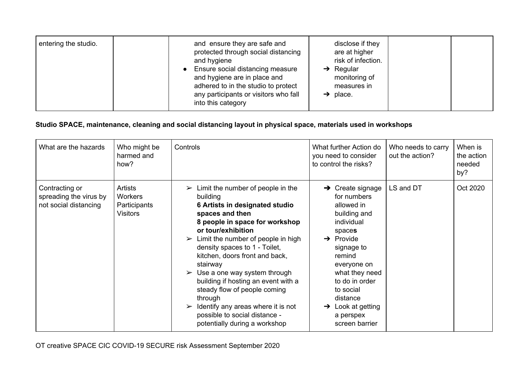| entering the studio. | and ensure they are safe and<br>protected through social distancing<br>and hygiene<br>• Ensure social distancing measure<br>and hygiene are in place and<br>adhered to in the studio to protect<br>any participants or visitors who fall<br>into this category | disclose if they<br>are at higher<br>risk of infection.<br>Regular<br>$\rightarrow$<br>monitoring of<br>measures in<br>place.<br>→ |  |  |
|----------------------|----------------------------------------------------------------------------------------------------------------------------------------------------------------------------------------------------------------------------------------------------------------|------------------------------------------------------------------------------------------------------------------------------------|--|--|
|----------------------|----------------------------------------------------------------------------------------------------------------------------------------------------------------------------------------------------------------------------------------------------------------|------------------------------------------------------------------------------------------------------------------------------------|--|--|

## **Studio SPACE, maintenance, cleaning and social distancing layout in physical space, materials used in workshops**

| What are the hazards                                              | Who might be<br>harmed and<br>how?                           | Controls                                                                                                                                                                                                                                                                                                                                                                                                                                                                                                                                                                                      | What further Action do<br>you need to consider<br>to control the risks?                                                                                                                                                                                                                           | Who needs to carry<br>out the action? | When is<br>the action<br>needed<br>by? |
|-------------------------------------------------------------------|--------------------------------------------------------------|-----------------------------------------------------------------------------------------------------------------------------------------------------------------------------------------------------------------------------------------------------------------------------------------------------------------------------------------------------------------------------------------------------------------------------------------------------------------------------------------------------------------------------------------------------------------------------------------------|---------------------------------------------------------------------------------------------------------------------------------------------------------------------------------------------------------------------------------------------------------------------------------------------------|---------------------------------------|----------------------------------------|
| Contracting or<br>spreading the virus by<br>not social distancing | Artists<br><b>Workers</b><br>Participants<br><b>Visitors</b> | Limit the number of people in the<br>$\blacktriangleright$<br>building<br>6 Artists in designated studio<br>spaces and then<br>8 people in space for workshop<br>or tour/exhibition<br>Limit the number of people in high<br>$\blacktriangleright$<br>density spaces to 1 - Toilet,<br>kitchen, doors front and back,<br>stairway<br>$\triangleright$ Use a one way system through<br>building if hosting an event with a<br>steady flow of people coming<br>through<br>$\triangleright$ Identify any areas where it is not<br>possible to social distance -<br>potentially during a workshop | $\rightarrow$ Create signage<br>for numbers<br>allowed in<br>building and<br>individual<br>spaces<br>$\rightarrow$ Provide<br>signage to<br>remind<br>everyone on<br>what they need<br>to do in order<br>to social<br>distance<br>Look at getting<br>$\rightarrow$<br>a perspex<br>screen barrier | LS and DT                             | Oct 2020                               |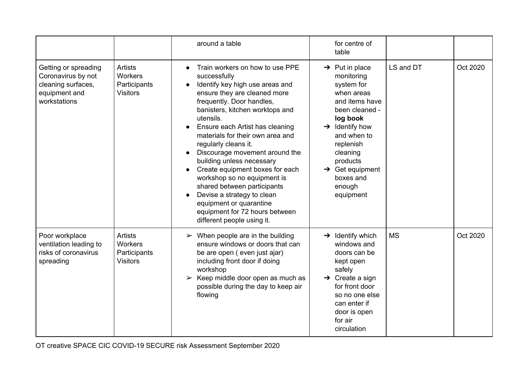|                                                                                                   |                                                                     | around a table                                                                                                                                                                                                                                                                                                                                                                                                                                                                                                                                                                          | for centre of<br>table                                                                                                                                                                                                                                                    |           |          |
|---------------------------------------------------------------------------------------------------|---------------------------------------------------------------------|-----------------------------------------------------------------------------------------------------------------------------------------------------------------------------------------------------------------------------------------------------------------------------------------------------------------------------------------------------------------------------------------------------------------------------------------------------------------------------------------------------------------------------------------------------------------------------------------|---------------------------------------------------------------------------------------------------------------------------------------------------------------------------------------------------------------------------------------------------------------------------|-----------|----------|
| Getting or spreading<br>Coronavirus by not<br>cleaning surfaces,<br>equipment and<br>workstations | <b>Artists</b><br><b>Workers</b><br>Participants<br><b>Visitors</b> | Train workers on how to use PPE<br>successfully<br>Identify key high use areas and<br>ensure they are cleaned more<br>frequently. Door handles,<br>banisters, kitchen worktops and<br>utensils.<br>Ensure each Artist has cleaning<br>materials for their own area and<br>regularly cleans it.<br>Discourage movement around the<br>building unless necessary<br>Create equipment boxes for each<br>workshop so no equipment is<br>shared between participants<br>Devise a strategy to clean<br>equipment or quarantine<br>equipment for 72 hours between<br>different people using it. | $\rightarrow$ Put in place<br>monitoring<br>system for<br>when areas<br>and items have<br>been cleaned -<br>log book<br>$\rightarrow$ Identify how<br>and when to<br>replenish<br>cleaning<br>products<br>$\rightarrow$ Get equipment<br>boxes and<br>enough<br>equipment | LS and DT | Oct 2020 |
| Poor workplace<br>ventilation leading to<br>risks of coronavirus<br>spreading                     | <b>Artists</b><br><b>Workers</b><br>Participants<br><b>Visitors</b> | $\triangleright$ When people are in the building<br>ensure windows or doors that can<br>be are open (even just ajar)<br>including front door if doing<br>workshop<br>$\triangleright$ Keep middle door open as much as<br>possible during the day to keep air<br>flowing                                                                                                                                                                                                                                                                                                                | $\rightarrow$ Identify which<br>windows and<br>doors can be<br>kept open<br>safely<br>$\rightarrow$ Create a sign<br>for front door<br>so no one else<br>can enter if<br>door is open<br>for air<br>circulation                                                           | <b>MS</b> | Oct 2020 |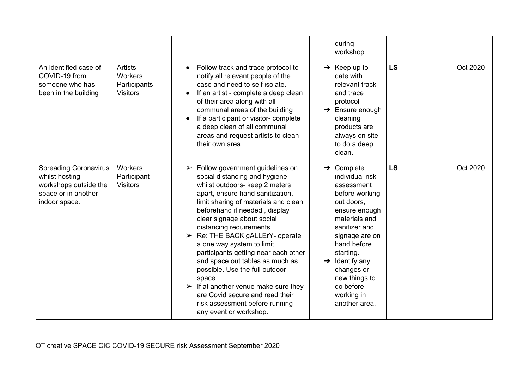|                                                                                                                 |                                                                     |                                                                                                                                                                                                                                                                                                                                                                                                                                                                                                                                                                                                                                                       | during<br>workshop                                                                                                                                                                                                                                                                                |           |          |
|-----------------------------------------------------------------------------------------------------------------|---------------------------------------------------------------------|-------------------------------------------------------------------------------------------------------------------------------------------------------------------------------------------------------------------------------------------------------------------------------------------------------------------------------------------------------------------------------------------------------------------------------------------------------------------------------------------------------------------------------------------------------------------------------------------------------------------------------------------------------|---------------------------------------------------------------------------------------------------------------------------------------------------------------------------------------------------------------------------------------------------------------------------------------------------|-----------|----------|
| An identified case of<br>COVID-19 from<br>someone who has<br>been in the building                               | <b>Artists</b><br><b>Workers</b><br>Participants<br><b>Visitors</b> | Follow track and trace protocol to<br>notify all relevant people of the<br>case and need to self isolate.<br>If an artist - complete a deep clean<br>of their area along with all<br>communal areas of the building<br>If a participant or visitor- complete<br>a deep clean of all communal<br>areas and request artists to clean<br>their own area.                                                                                                                                                                                                                                                                                                 | $\rightarrow$ Keep up to<br>date with<br>relevant track<br>and trace<br>protocol<br>$\rightarrow$ Ensure enough<br>cleaning<br>products are<br>always on site<br>to do a deep<br>clean.                                                                                                           | <b>LS</b> | Oct 2020 |
| <b>Spreading Coronavirus</b><br>whilst hosting<br>workshops outside the<br>space or in another<br>indoor space. | <b>Workers</b><br>Participant<br><b>Visitors</b>                    | $\triangleright$ Follow government guidelines on<br>social distancing and hygiene<br>whilst outdoors- keep 2 meters<br>apart, ensure hand sanitization,<br>limit sharing of materials and clean<br>beforehand if needed, display<br>clear signage about social<br>distancing requirements<br>$\triangleright$ Re: THE BACK gALLErY- operate<br>a one way system to limit<br>participants getting near each other<br>and space out tables as much as<br>possible. Use the full outdoor<br>space.<br>$\triangleright$ If at another venue make sure they<br>are Covid secure and read their<br>risk assessment before running<br>any event or workshop. | $\rightarrow$ Complete<br>individual risk<br>assessment<br>before working<br>out doors,<br>ensure enough<br>materials and<br>sanitizer and<br>signage are on<br>hand before<br>starting.<br>$\rightarrow$ Identify any<br>changes or<br>new things to<br>do before<br>working in<br>another area. | <b>LS</b> | Oct 2020 |